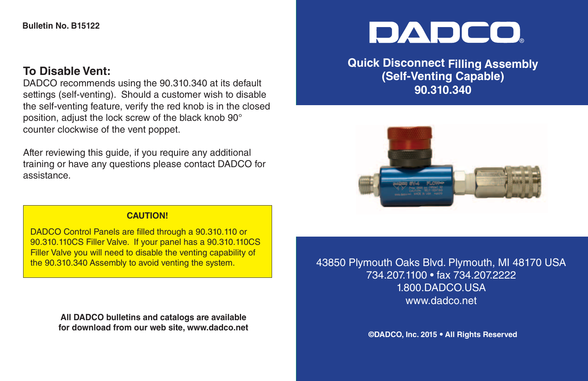## **To Disable Vent:**

DADCO recommends using the 90.310.340 at its default settings (self-venting). Should a customer wish to disable the self-venting feature, verify the red knob is in the closed position, adjust the lock screw of the black knob 90° counter clockwise of the vent poppet.

After reviewing this guide, if you require any additional training or have any questions please contact DADCO for assistance.

## **DADCO**

**Quick Disconnect Filling Assembly (Self-Venting Capable) 90.310.340**



## **CAUTION!**

DADCO Control Panels are filled through a 90.310.110 or 90.310.110CS Filler Valve. If your panel has a 90.310.110CS Filler Valve you will need to disable the venting capability of the 90.310.340 Assembly to avoid venting the system.

> **All DADCO bulletins and catalogs are available for download from our web site, www.dadco.net**

43850 Plymouth Oaks Blvd. Plymouth, MI 48170 USA 734.207.1100 • fax 734.207.2222 1.800.DADCO.USA www.dadco.net

**©DADCO, Inc. 2015 • All Rights Reserved**